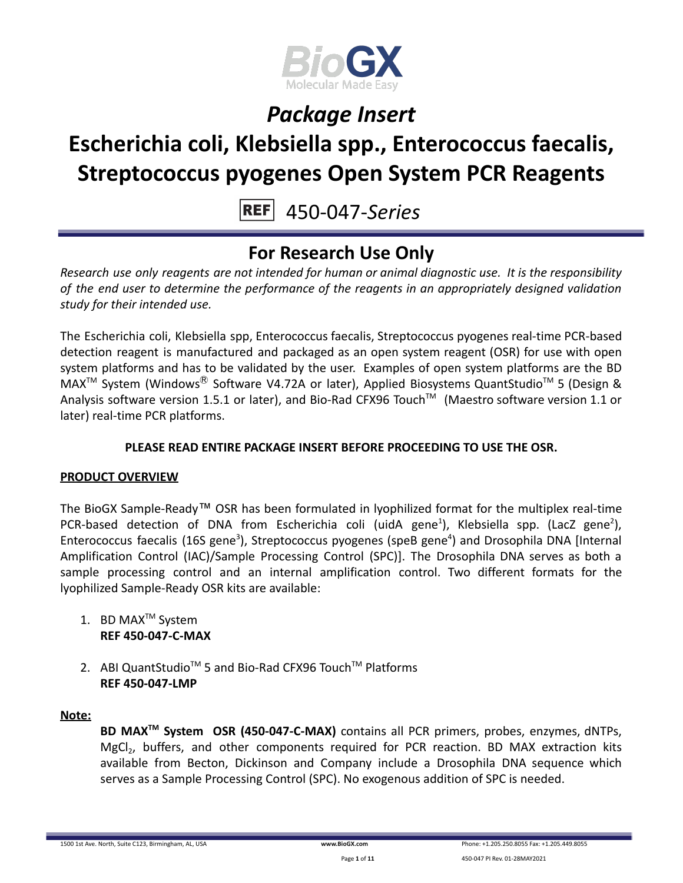

## **Escherichia coli, Klebsiella spp., Enterococcus faecalis, Streptococcus pyogenes Open System PCR Reagents**

450-047-*Series*

## **For Research Use Only**

*Research use only reagents are not intended for human or animal diagnostic use. It is the responsibility of the end user to determine the performance of the reagents in an appropriately designed validation study for their intended use.*

The Escherichia coli, Klebsiella spp, Enterococcus faecalis, Streptococcus pyogenes real-time PCR-based detection reagent is manufactured and packaged as an open system reagent (OSR) for use with open system platforms and has to be validated by the user. Examples of open system platforms are the BD MAX<sup>™</sup> System (Windows<sup>®</sup> Software V4.72A or later), Applied Biosystems QuantStudio<sup>™</sup> 5 (Design & Analysis software version 1.5.1 or later), and Bio-Rad CFX96 Touch™ (Maestro software version 1.1 or later) real-time PCR platforms.

### **PLEASE READ ENTIRE PACKAGE INSERT BEFORE PROCEEDING TO USE THE OSR.**

### **PRODUCT OVERVIEW**

The BioGX Sample-Ready™ OSR has been formulated in lyophilized format for the multiplex real-time PCR-based detection of DNA from Escherichia coli (uidA gene<sup>1</sup>), Klebsiella spp. (LacZ gene<sup>2</sup>), Enterococcus faecalis (16S gene<sup>3</sup>), Streptococcus pyogenes (speB gene<sup>4</sup>) and Drosophila DNA [Internal Amplification Control (IAC)/Sample Processing Control (SPC)]. The Drosophila DNA serves as both a sample processing control and an internal amplification control. Two different formats for the lyophilized Sample-Ready OSR kits are available:

- 1. BD MAX<sup>™</sup> System **REF 450-047-C-MAX**
- 2. ABI QuantStudio<sup>™</sup> 5 and Bio-Rad CFX96 Touch™ Platforms **REF 450-047-LMP**

### **Note:**

**BD MAXTM System OSR (450-047-C-MAX)** contains all PCR primers, probes, enzymes, dNTPs, MgCl<sub>2</sub>, buffers, and other components required for PCR reaction. BD MAX extraction kits available from Becton, Dickinson and Company include a Drosophila DNA sequence which serves as a Sample Processing Control (SPC). No exogenous addition of SPC is needed.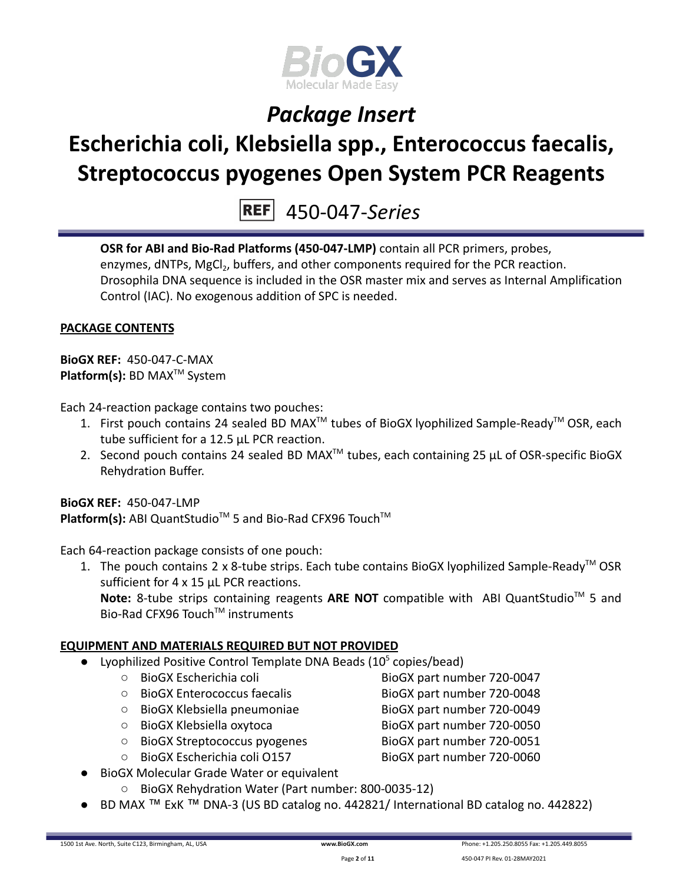

# **Escherichia coli, Klebsiella spp., Enterococcus faecalis, Streptococcus pyogenes Open System PCR Reagents**

450-047-*Series*

**OSR for ABI and Bio-Rad Platforms (450-047-LMP)** contain all PCR primers, probes, enzymes, dNTPs, MgCl<sub>2</sub>, buffers, and other components required for the PCR reaction. Drosophila DNA sequence is included in the OSR master mix and serves as Internal Amplification Control (IAC). No exogenous addition of SPC is needed.

### **PACKAGE CONTENTS**

**BioGX REF:** 450-047-C-MAX **Platform(s):** BD MAX<sup>™</sup> System

Each 24-reaction package contains two pouches:

- 1. First pouch contains 24 sealed BD MAX<sup>™</sup> tubes of BioGX lyophilized Sample-Ready<sup>™</sup> OSR, each tube sufficient for a 12.5 µL PCR reaction.
- 2. Second pouch contains 24 sealed BD MAX<sup>™</sup> tubes, each containing 25  $\mu$ L of OSR-specific BioGX Rehydration Buffer.

**BioGX REF:** 450-047-LMP Platform(s): ABI QuantStudio<sup>™</sup> 5 and Bio-Rad CFX96 Touch<sup>™</sup>

Each 64-reaction package consists of one pouch:

1. The pouch contains 2 x 8-tube strips. Each tube contains BioGX lyophilized Sample-Ready<sup>™</sup> OSR sufficient for 4 x 15 uL PCR reactions.

Note: 8-tube strips containing reagents ARE NOT compatible with ABI QuantStudio<sup>™</sup> 5 and Bio-Rad CFX96 Touch™ instruments

### **EQUIPMENT AND MATERIALS REQUIRED BUT NOT PROVIDED**

- Lyophilized Positive Control Template DNA Beads  $(10^5 \text{ copies/head})$ 
	- BioGX Escherichia coli BioGX part number 720-0047
	- BioGX Enterococcus faecalis BioGX part number 720-0048
	- BioGX Klebsiella pneumoniae BioGX part number 720-0049
	- BioGX Klebsiella oxytoca BioGX part number 720-0050
	- BioGX Streptococcus pyogenes BioGX part number 720-0051
	- BioGX Escherichia coli O157 BioGX part number 720-0060
- 

- 
- **BioGX Molecular Grade Water or equivalent** 
	- BioGX Rehydration Water (Part number: 800-0035-12)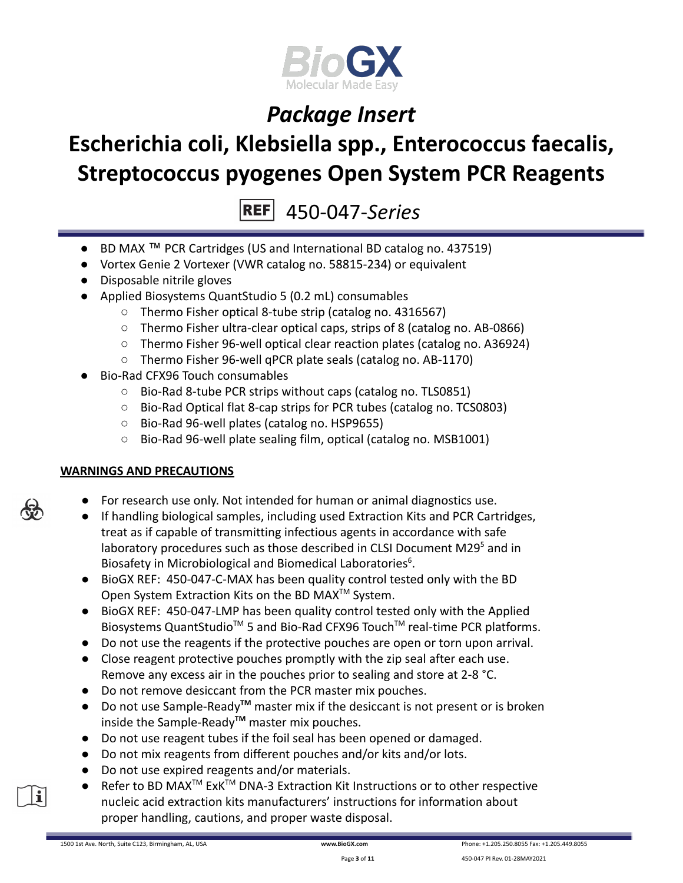

# **Escherichia coli, Klebsiella spp., Enterococcus faecalis, Streptococcus pyogenes Open System PCR Reagents**

450-047-*Series*

- BD MAX ™ PCR Cartridges (US and International BD catalog no. 437519)
- Vortex Genie 2 Vortexer (VWR catalog no. 58815-234) or equivalent
- Disposable nitrile gloves
- Applied Biosystems QuantStudio 5 (0.2 mL) consumables
	- Thermo Fisher optical 8-tube strip (catalog no. 4316567)
	- Thermo Fisher ultra-clear optical caps, strips of 8 (catalog no. AB-0866)
	- Thermo Fisher 96-well optical clear reaction plates (catalog no. A36924)
	- Thermo Fisher 96-well qPCR plate seals (catalog no. AB-1170)
- Bio-Rad CFX96 Touch consumables
	- Bio-Rad 8-tube PCR strips without caps (catalog no. TLS0851)
	- Bio-Rad Optical flat 8-cap strips for PCR tubes (catalog no. TCS0803)
	- Bio-Rad 96-well plates (catalog no. HSP9655)
	- Bio-Rad 96-well plate sealing film, optical (catalog no. MSB1001)

### **WARNINGS AND PRECAUTIONS**

- For research use only. Not intended for human or animal diagnostics use.
- If handling biological samples, including used Extraction Kits and PCR Cartridges, treat as if capable of transmitting infectious agents in accordance with safe laboratory procedures such as those described in CLSI Document M29<sup>5</sup> and in Biosafety in Microbiological and Biomedical Laboratories<sup>6</sup>.
- BioGX REF: 450-047-C-MAX has been quality control tested only with the BD Open System Extraction Kits on the BD MAX<sup>™</sup> System.
- BioGX REF: 450-047-LMP has been quality control tested only with the Applied Biosystems QuantStudio<sup>™</sup> 5 and Bio-Rad CFX96 Touch<sup>™</sup> real-time PCR platforms.
- Do not use the reagents if the protective pouches are open or torn upon arrival.
- Close reagent protective pouches promptly with the zip seal after each use. Remove any excess air in the pouches prior to sealing and store at 2-8 °C.
- Do not remove desiccant from the PCR master mix pouches.
- Do not use Sample-Ready**TM** master mix if the desiccant is not present or is broken inside the Sample-Ready**TM** master mix pouches.
- Do not use reagent tubes if the foil seal has been opened or damaged.
- Do not mix reagents from different pouches and/or kits and/or lots.
- Do not use expired reagents and/or materials.
- Refer to BD MAX<sup>™</sup> ExK<sup>™</sup> DNA-3 Extraction Kit Instructions or to other respective nucleic acid extraction kits manufacturers' instructions for information about proper handling, cautions, and proper waste disposal.



il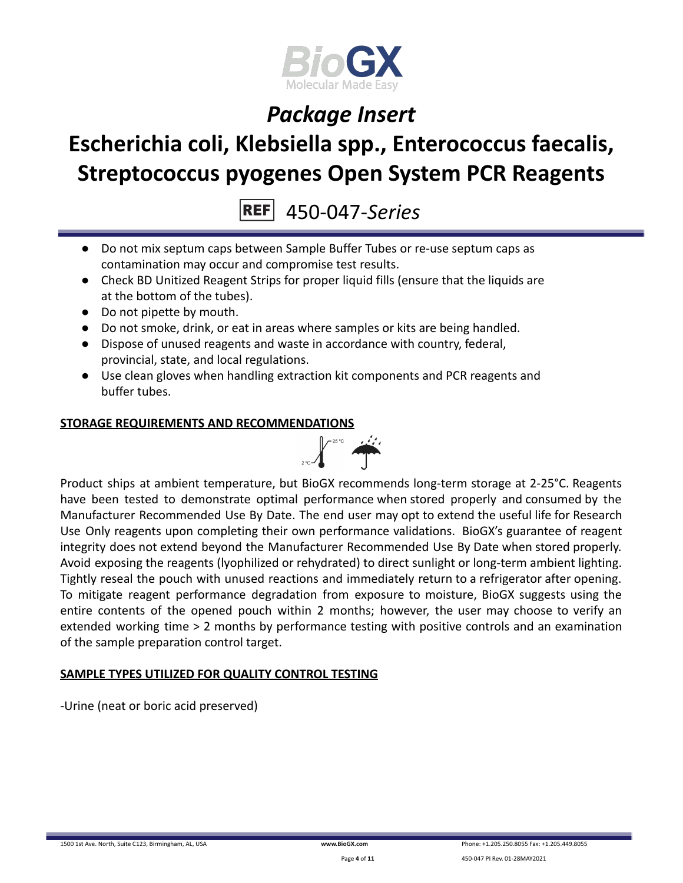

## **Escherichia coli, Klebsiella spp., Enterococcus faecalis, Streptococcus pyogenes Open System PCR Reagents**

450-047-*Series*

- Do not mix septum caps between Sample Buffer Tubes or re-use septum caps as contamination may occur and compromise test results.
- Check BD Unitized Reagent Strips for proper liquid fills (ensure that the liquids are at the bottom of the tubes).
- Do not pipette by mouth.
- Do not smoke, drink, or eat in areas where samples or kits are being handled.
- Dispose of unused reagents and waste in accordance with country, federal, provincial, state, and local regulations.
- Use clean gloves when handling extraction kit components and PCR reagents and buffer tubes.

### **STORAGE REQUIREMENTS AND RECOMMENDATIONS**



Product ships at ambient temperature, but BioGX recommends long-term storage at 2-25°C. Reagents have been tested to demonstrate optimal performance when stored properly and consumed by the Manufacturer Recommended Use By Date. The end user may opt to extend the useful life for Research Use Only reagents upon completing their own performance validations. BioGX's guarantee of reagent integrity does not extend beyond the Manufacturer Recommended Use By Date when stored properly. Avoid exposing the reagents (lyophilized or rehydrated) to direct sunlight or long-term ambient lighting. Tightly reseal the pouch with unused reactions and immediately return to a refrigerator after opening. To mitigate reagent performance degradation from exposure to moisture, BioGX suggests using the entire contents of the opened pouch within 2 months; however, the user may choose to verify an extended working time > 2 months by performance testing with positive controls and an examination of the sample preparation control target.

### **SAMPLE TYPES UTILIZED FOR QUALITY CONTROL TESTING**

-Urine (neat or boric acid preserved)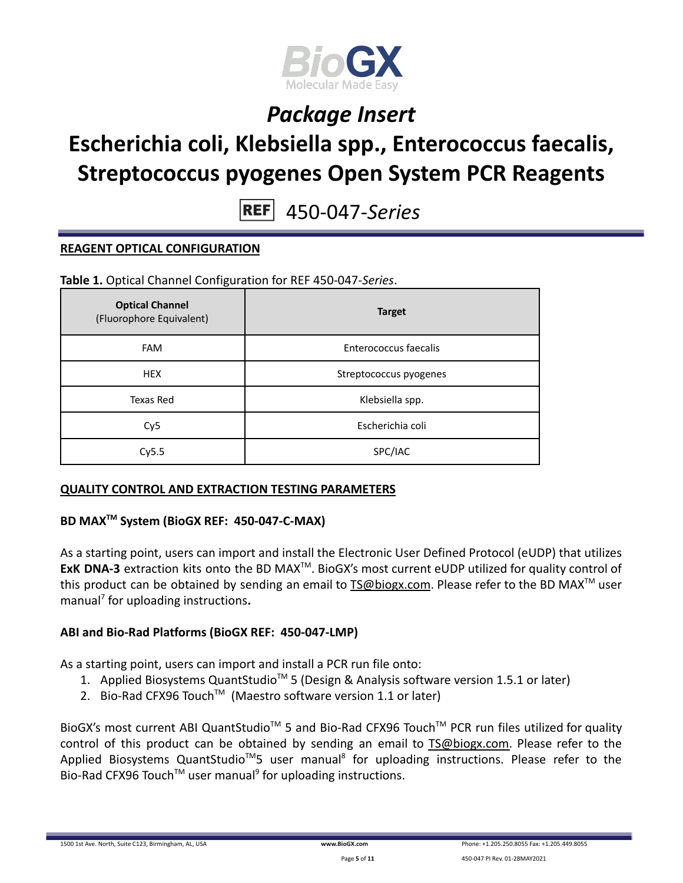

## **Escherichia coli, Klebsiella spp., Enterococcus faecalis, Streptococcus pyogenes Open System PCR Reagents**

450-047-*Series*

### **REAGENT OPTICAL CONFIGURATION**

**Table 1.** Optical Channel Configuration for REF 450-047-*Series*.

| <b>Optical Channel</b><br>(Fluorophore Equivalent) | <b>Target</b>          |
|----------------------------------------------------|------------------------|
| <b>FAM</b>                                         | Enterococcus faecalis  |
| <b>HEX</b>                                         | Streptococcus pyogenes |
| Texas Red                                          | Klebsiella spp.        |
| Cy <sub>5</sub>                                    | Escherichia coli       |
| Cy5.5                                              | SPC/IAC                |

### **QUALITY CONTROL AND EXTRACTION TESTING PARAMETERS**

## **BD MAXTM System (BioGX REF: 450-047-C-MAX)**

As a starting point, users can import and install the Electronic User Defined Protocol (eUDP) that utilizes ExK DNA-3 extraction kits onto the BD MAX<sup>™</sup>. BioGX's most current eUDP utilized for quality control of this product can be obtained by sending an email to [TS@biogx.com](mailto:TS@biogx.com). Please refer to the BD MAX<sup>TM</sup> user manual<sup>7</sup> for uploading instructions**.**

### **ABI and Bio-Rad Platforms (BioGX REF: 450-047-LMP)**

As a starting point, users can import and install a PCR run file onto:

- 1. Applied Biosystems QuantStudio<sup>™</sup> 5 (Design & Analysis software version 1.5.1 or later)
- 2. Bio-Rad CFX96 Touch<sup>™</sup> (Maestro software version 1.1 or later)

BioGX's most current ABI QuantStudio<sup>™</sup> 5 and Bio-Rad CFX96 Touch<sup>™</sup> PCR run files utilized for quality control of this product can be obtained by sending an email to [TS@biogx.com.](mailto:TS@biogx.com) Please refer to the Applied Biosystems QuantStudio<sup>™</sup>5 user manual<sup>8</sup> for uploading instructions. Please refer to the Bio-Rad CFX96 Touch<sup>™</sup> user manual<sup>9</sup> for uploading instructions.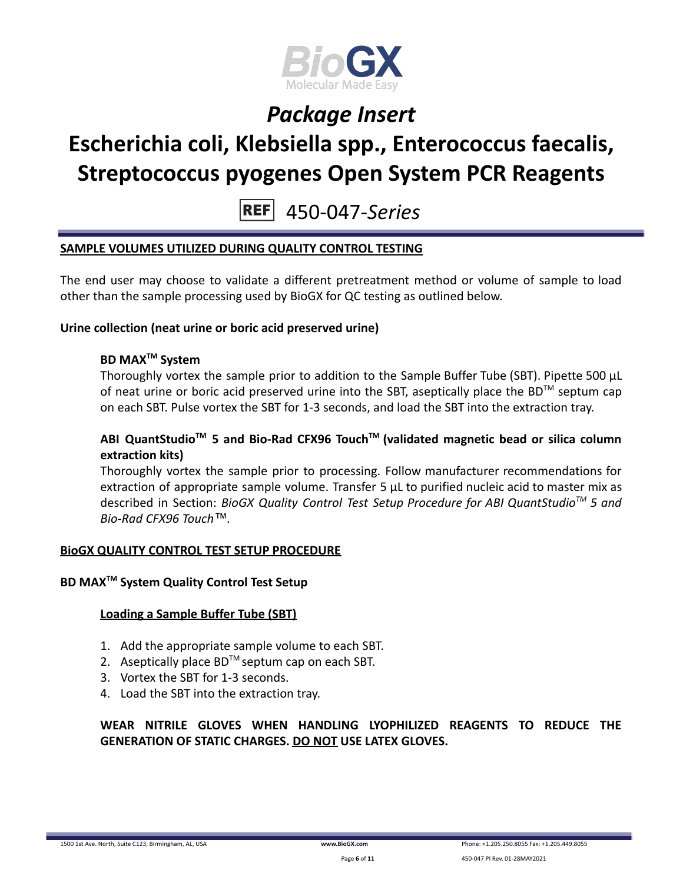

# **Escherichia coli, Klebsiella spp., Enterococcus faecalis, Streptococcus pyogenes Open System PCR Reagents**

450-047-*Series*

### **SAMPLE VOLUMES UTILIZED DURING QUALITY CONTROL TESTING**

The end user may choose to validate a different pretreatment method or volume of sample to load other than the sample processing used by BioGX for QC testing as outlined below.

#### **Urine collection (neat urine or boric acid preserved urine)**

### **BD MAXTM System**

Thoroughly vortex the sample prior to addition to the Sample Buffer Tube (SBT). Pipette 500 μL of neat urine or boric acid preserved urine into the SBT, aseptically place the BD<sup>TM</sup> septum cap on each SBT. Pulse vortex the SBT for 1-3 seconds, and load the SBT into the extraction tray.

### **ABI QuantStudioTM 5 and Bio-Rad CFX96 TouchTM (validated magnetic bead or silica column extraction kits)**

Thoroughly vortex the sample prior to processing. Follow manufacturer recommendations for extraction of appropriate sample volume. Transfer 5 μL to purified nucleic acid to master mix as described in Section: *BioGX Quality Control Test Setup Procedure for ABI QuantStudioTM 5 and Bio-Rad CFX96 Touch™.*

#### **BioGX QUALITY CONTROL TEST SETUP PROCEDURE**

### **BD MAXTM System Quality Control Test Setup**

### **Loading a Sample Buffer Tube (SBT)**

- 1. Add the appropriate sample volume to each SBT.
- 2. Aseptically place  $BD^{TM}$  septum cap on each SBT.
- 3. Vortex the SBT for 1-3 seconds.
- 4. Load the SBT into the extraction tray.

### **WEAR NITRILE GLOVES WHEN HANDLING LYOPHILIZED REAGENTS TO REDUCE THE GENERATION OF STATIC CHARGES. DO NOT USE LATEX GLOVES.**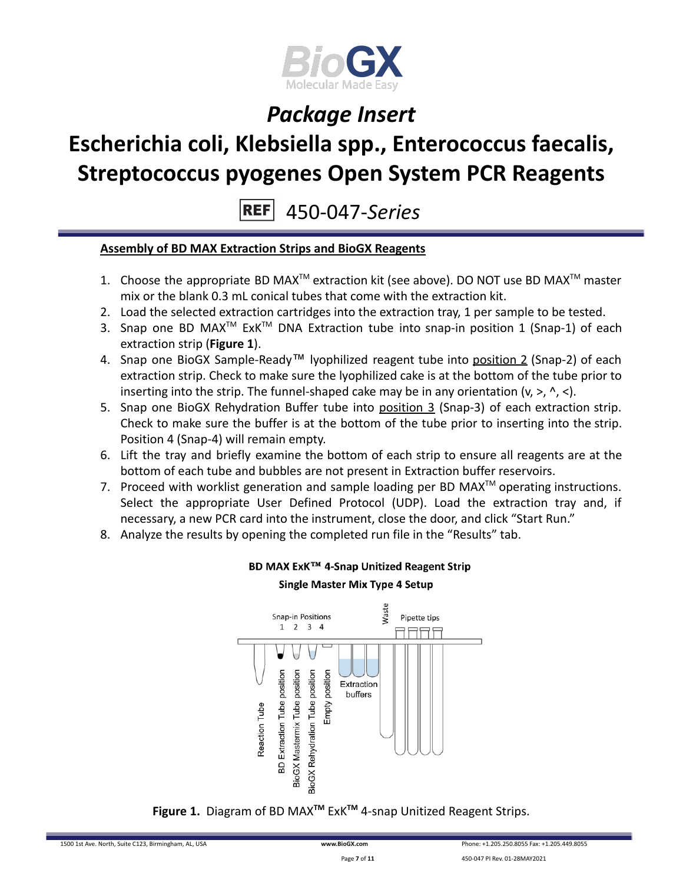

# **Escherichia coli, Klebsiella spp., Enterococcus faecalis, Streptococcus pyogenes Open System PCR Reagents**

450-047-*Series*

### **Assembly of BD MAX Extraction Strips and BioGX Reagents**

- 1. Choose the appropriate BD MAX<sup>TM</sup> extraction kit (see above). DO NOT use BD MAX<sup>TM</sup> master mix or the blank 0.3 mL conical tubes that come with the extraction kit.
- 2. Load the selected extraction cartridges into the extraction tray, 1 per sample to be tested.
- 3. Snap one BD MAX<sup>™</sup> ExK<sup>™</sup> DNA Extraction tube into snap-in position 1 (Snap-1) of each extraction strip (**Figure 1**).
- 4. Snap one BioGX Sample-Ready™ lyophilized reagent tube into position 2 (Snap-2) of each extraction strip. Check to make sure the lyophilized cake is at the bottom of the tube prior to inserting into the strip. The funnel-shaped cake may be in any orientation  $(v, >, \land, <)$ .
- 5. Snap one BioGX Rehydration Buffer tube into position 3 (Snap-3) of each extraction strip. Check to make sure the buffer is at the bottom of the tube prior to inserting into the strip. Position 4 (Snap-4) will remain empty.
- 6. Lift the tray and briefly examine the bottom of each strip to ensure all reagents are at the bottom of each tube and bubbles are not present in Extraction buffer reservoirs.
- 7. Proceed with worklist generation and sample loading per BD MAX $^{TM}$  operating instructions. Select the appropriate User Defined Protocol (UDP). Load the extraction tray and, if necessary, a new PCR card into the instrument, close the door, and click "Start Run."
- 8. Analyze the results by opening the completed run file in the "Results" tab.



## BD MAX ExK™ 4-Snap Unitized Reagent Strip **Single Master Mix Type 4 Setup**

**Figure 1.** Diagram of BD MAX**TM** ExK**TM** 4-snap Unitized Reagent Strips.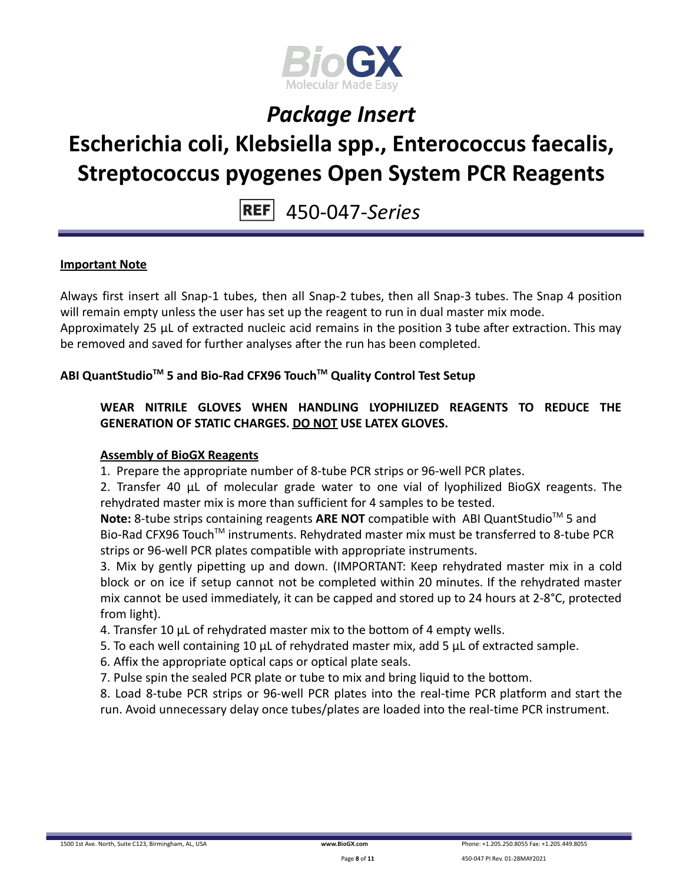

## **Escherichia coli, Klebsiella spp., Enterococcus faecalis, Streptococcus pyogenes Open System PCR Reagents**

450-047-*Series*

### **Important Note**

Always first insert all Snap-1 tubes, then all Snap-2 tubes, then all Snap-3 tubes. The Snap 4 position will remain empty unless the user has set up the reagent to run in dual master mix mode.

Approximately 25 µL of extracted nucleic acid remains in the position 3 tube after extraction. This may be removed and saved for further analyses after the run has been completed.

## **ABI QuantStudioTM 5 and Bio-Rad CFX96 TouchTM Quality Control Test Setup**

**WEAR NITRILE GLOVES WHEN HANDLING LYOPHILIZED REAGENTS TO REDUCE THE GENERATION OF STATIC CHARGES. DO NOT USE LATEX GLOVES.**

### **Assembly of BioGX Reagents**

1. Prepare the appropriate number of 8-tube PCR strips or 96-well PCR plates.

2. Transfer 40 μL of molecular grade water to one vial of lyophilized BioGX reagents. The rehydrated master mix is more than sufficient for 4 samples to be tested.

Note: 8-tube strips containing reagents ARE NOT compatible with ABI QuantStudio<sup>™</sup> 5 and Bio-Rad CFX96 Touch<sup>™</sup> instruments. Rehydrated master mix must be transferred to 8-tube PCR strips or 96-well PCR plates compatible with appropriate instruments.

3. Mix by gently pipetting up and down. (IMPORTANT: Keep rehydrated master mix in a cold block or on ice if setup cannot not be completed within 20 minutes. If the rehydrated master mix cannot be used immediately, it can be capped and stored up to 24 hours at 2-8°C, protected from light).

- 4. Transfer 10 μL of rehydrated master mix to the bottom of 4 empty wells.
- 5. To each well containing 10 μL of rehydrated master mix, add 5 μL of extracted sample.
- 6. Affix the appropriate optical caps or optical plate seals.
- 7. Pulse spin the sealed PCR plate or tube to mix and bring liquid to the bottom.

8. Load 8-tube PCR strips or 96-well PCR plates into the real-time PCR platform and start the run. Avoid unnecessary delay once tubes/plates are loaded into the real-time PCR instrument.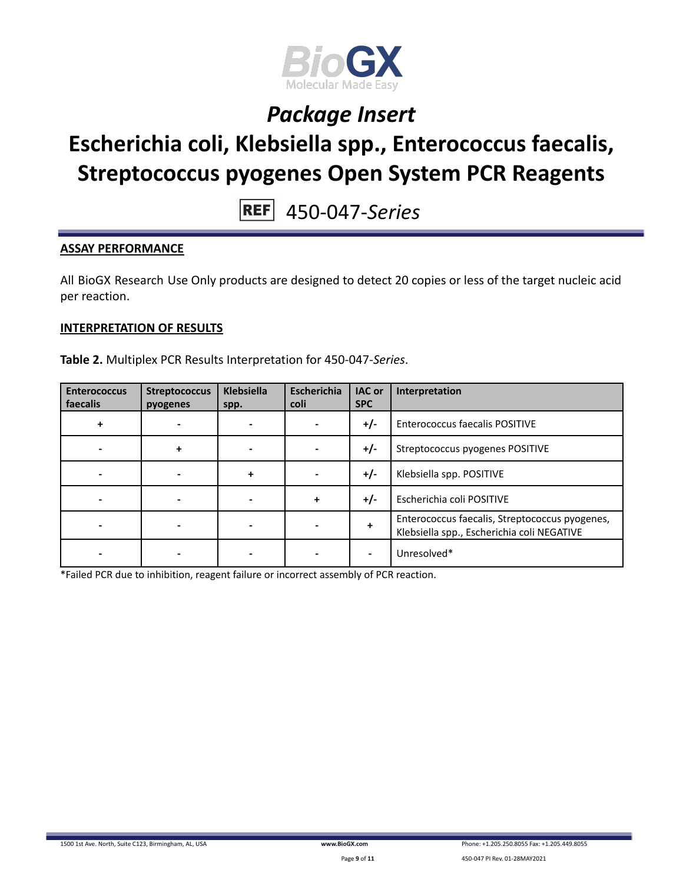

# **Escherichia coli, Klebsiella spp., Enterococcus faecalis, Streptococcus pyogenes Open System PCR Reagents**

450-047-*Series*

### **ASSAY PERFORMANCE**

All BioGX Research Use Only products are designed to detect 20 copies or less of the target nucleic acid per reaction.

#### **INTERPRETATION OF RESULTS**

**Table 2.** Multiplex PCR Results Interpretation for 450-047-*Series*.

| <b>Enterococcus</b><br>faecalis | <b>Streptococcus</b><br>pyogenes | <b>Klebsiella</b><br>spp. | <b>Escherichia</b><br>coli | <b>IAC or</b><br><b>SPC</b> | Interpretation                                                                               |
|---------------------------------|----------------------------------|---------------------------|----------------------------|-----------------------------|----------------------------------------------------------------------------------------------|
| ٠                               |                                  |                           |                            | $+/-$                       | <b>Enterococcus faecalis POSITIVE</b>                                                        |
|                                 |                                  |                           |                            | $+/-$                       | Streptococcus pyogenes POSITIVE                                                              |
|                                 |                                  | ٠                         |                            | $+/-$                       | Klebsiella spp. POSITIVE                                                                     |
|                                 |                                  |                           | +                          | $+/-$                       | Escherichia coli POSITIVE                                                                    |
|                                 |                                  |                           |                            | ٠                           | Enterococcus faecalis, Streptococcus pyogenes,<br>Klebsiella spp., Escherichia coli NEGATIVE |
|                                 |                                  |                           |                            |                             | Unresolved*                                                                                  |

\*Failed PCR due to inhibition, reagent failure or incorrect assembly of PCR reaction.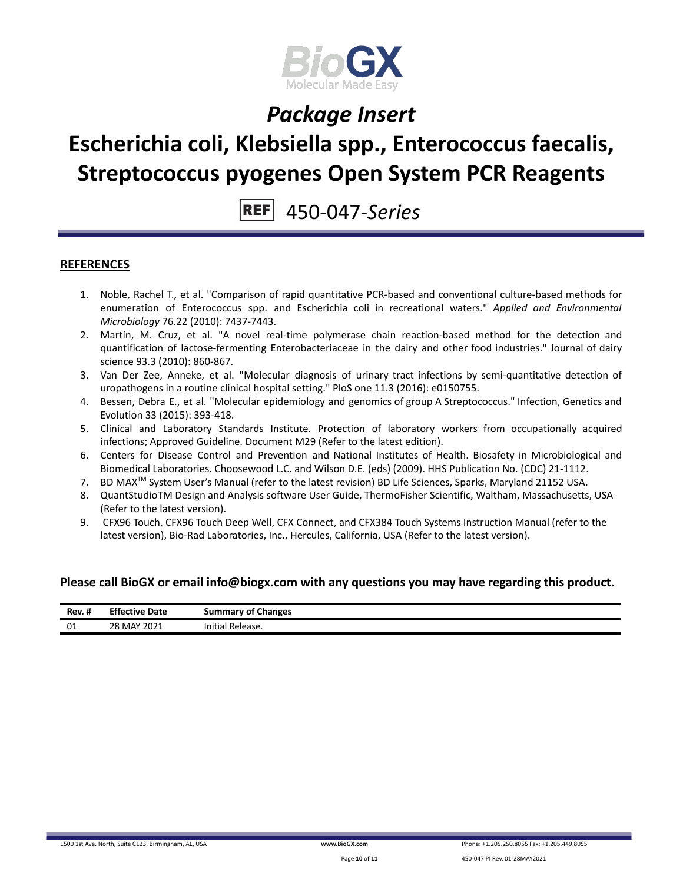

## **Escherichia coli, Klebsiella spp., Enterococcus faecalis, Streptococcus pyogenes Open System PCR Reagents**

450-047-*Series*

#### **REFERENCES**

- 1. Noble, Rachel T., et al. "Comparison of rapid quantitative PCR-based and conventional culture-based methods for enumeration of Enterococcus spp. and Escherichia coli in recreational waters." *Applied and Environmental Microbiology* 76.22 (2010): 7437-7443.
- 2. Martín, M. Cruz, et al. "A novel real-time polymerase chain reaction-based method for the detection and quantification of lactose-fermenting Enterobacteriaceae in the dairy and other food industries." Journal of dairy science 93.3 (2010): 860-867.
- 3. Van Der Zee, Anneke, et al. "Molecular diagnosis of urinary tract infections by semi-quantitative detection of uropathogens in a routine clinical hospital setting." PloS one 11.3 (2016): e0150755.
- 4. Bessen, Debra E., et al. "Molecular epidemiology and genomics of group A Streptococcus." Infection, Genetics and Evolution 33 (2015): 393-418.
- 5. Clinical and Laboratory Standards Institute. Protection of laboratory workers from occupationally acquired infections; Approved Guideline. Document M29 (Refer to the latest edition).
- 6. Centers for Disease Control and Prevention and National Institutes of Health. Biosafety in Microbiological and Biomedical Laboratories. Choosewood L.C. and Wilson D.E. (eds) (2009). HHS Publication No. (CDC) 21-1112.
- 7. BD MAX<sup>™</sup> System User's Manual (refer to the latest revision) BD Life Sciences, Sparks, Maryland 21152 USA.
- 8. QuantStudioTM Design and Analysis software User Guide, ThermoFisher Scientific, Waltham, Massachusetts, USA (Refer to the latest version).
- 9. CFX96 Touch, CFX96 Touch Deep Well, CFX Connect, and CFX384 Touch Systems Instruction Manual (refer to the latest version), Bio-Rad Laboratories, Inc., Hercules, California, USA (Refer to the latest version).

#### **Please call BioGX or email info@biogx.com with any questions you may have regarding this product.**

| $\cdot$ .<br>Rev. # | <b>Effective Date</b> | <b>Summary of Changes</b> |
|---------------------|-----------------------|---------------------------|
| 01                  | 28 MAY 2021           | Initial<br>Release.       |